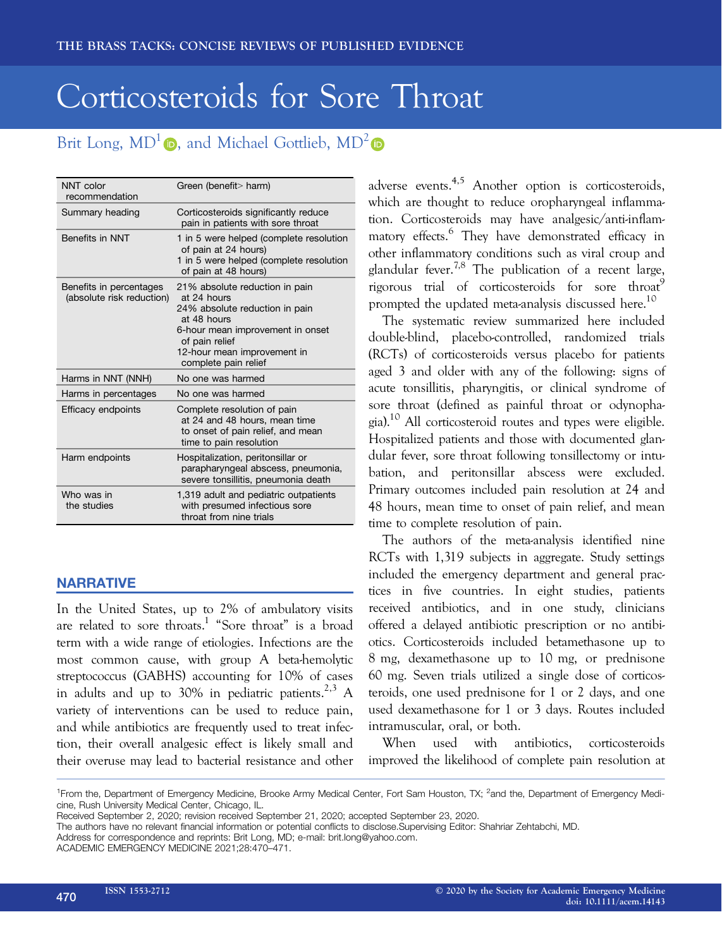# Corticosteroids for Sore Throat

# Brit Long,  $MD^1$  , and Michael Gottlieb,  $MD^2$

| NNT color<br>recommendation                          | Green (benefit> harm)                                                                                                                                                                                       |
|------------------------------------------------------|-------------------------------------------------------------------------------------------------------------------------------------------------------------------------------------------------------------|
| Summary heading                                      | Corticosteroids significantly reduce<br>pain in patients with sore throat                                                                                                                                   |
| Benefits in NNT                                      | 1 in 5 were helped (complete resolution<br>of pain at 24 hours)<br>1 in 5 were helped (complete resolution<br>of pain at 48 hours)                                                                          |
| Benefits in percentages<br>(absolute risk reduction) | 21% absolute reduction in pain<br>at 24 hours<br>24% absolute reduction in pain<br>at 48 hours<br>6-hour mean improvement in onset<br>of pain relief<br>12-hour mean improvement in<br>complete pain relief |
| Harms in NNT (NNH)                                   | No one was harmed                                                                                                                                                                                           |
| Harms in percentages                                 | No one was harmed                                                                                                                                                                                           |
| Efficacy endpoints                                   | Complete resolution of pain<br>at 24 and 48 hours, mean time<br>to onset of pain relief, and mean<br>time to pain resolution                                                                                |
| Harm endpoints                                       | Hospitalization, peritonsillar or<br>parapharyngeal abscess, pneumonia,<br>severe tonsillitis, pneumonia death                                                                                              |
| Who was in<br>the studies                            | 1,319 adult and pediatric outpatients<br>with presumed infectious sore<br>throat from nine trials                                                                                                           |

## **NARRATIVE**

In the United States, up to 2% of ambulatory visits are related to sore throats.<sup>1</sup> "Sore throat" is a broad term with a wide range of etiologies. Infections are the most common cause, with group A beta-hemolytic streptococcus (GABHS) accounting for 10% of cases in adults and up to  $30\%$  in pediatric patients.<sup>2,3</sup> A variety of interventions can be used to reduce pain, and while antibiotics are frequently used to treat infection, their overall analgesic effect is likely small and their overuse may lead to bacterial resistance and other adverse events.4,5 Another option is corticosteroids, which are thought to reduce oropharyngeal inflammation. Corticosteroids may have analgesic/anti-inflammatory effects.<sup>6</sup> They have demonstrated efficacy in other inflammatory conditions such as viral croup and glandular fever.<sup>7,8</sup> The publication of a recent large, rigorous trial of corticosteroids for sore throat prompted the updated meta-analysis discussed here.<sup>10</sup>

The systematic review summarized here included double-blind, placebo-controlled, randomized trials (RCTs) of corticosteroids versus placebo for patients aged 3 and older with any of the following: signs of acute tonsillitis, pharyngitis, or clinical syndrome of sore throat (defined as painful throat or odynophagia).10 All corticosteroid routes and types were eligible. Hospitalized patients and those with documented glandular fever, sore throat following tonsillectomy or intubation, and peritonsillar abscess were excluded. Primary outcomes included pain resolution at 24 and 48 hours, mean time to onset of pain relief, and mean time to complete resolution of pain.

The authors of the meta-analysis identified nine RCTs with 1,319 subjects in aggregate. Study settings included the emergency department and general practices in five countries. In eight studies, patients received antibiotics, and in one study, clinicians offered a delayed antibiotic prescription or no antibiotics. Corticosteroids included betamethasone up to 8 mg, dexamethasone up to 10 mg, or prednisone 60 mg. Seven trials utilized a single dose of corticosteroids, one used prednisone for 1 or 2 days, and one used dexamethasone for 1 or 3 days. Routes included intramuscular, oral, or both.

When used with antibiotics, corticosteroids improved the likelihood of complete pain resolution at

Address for correspondence and reprints: Brit Long, MD; e-mail: [brit.long@yahoo.com](mailto:).

<sup>&</sup>lt;sup>1</sup> From the, Department of Emergency Medicine, Brooke Army Medical Center, Fort Sam Houston, TX; <sup>2</sup> and the, Department of Emergency Medicine, Rush University Medical Center, Chicago, IL.

Received September 2, 2020; revision received September 21, 2020; accepted September 23, 2020.

The authors have no relevant financial information or potential conflicts to disclose.Supervising Editor: Shahriar Zehtabchi, MD.

ACADEMIC EMERGENCY MEDICINE 2021;28:470–471.